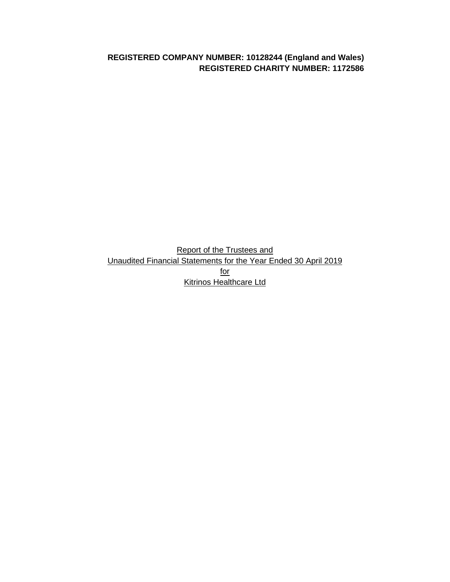**REGISTERED COMPANY NUMBER: 10128244 (England and Wales) REGISTERED CHARITY NUMBER: 1172586**

Report of the Trustees and Unaudited Financial Statements for the Year Ended 30 April 2019 for Kitrinos Healthcare Ltd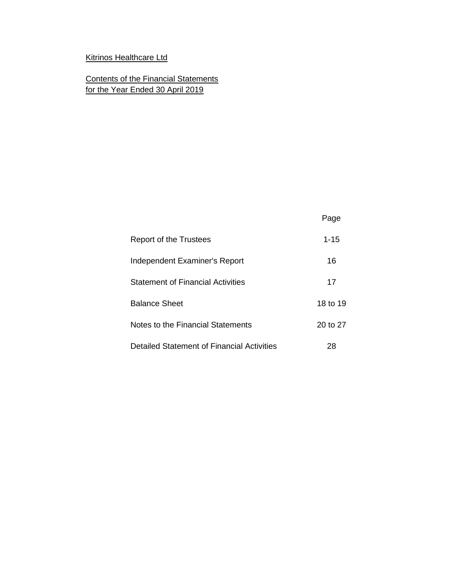# Kitrinos Healthcare Ltd

Contents of the Financial Statements for the Year Ended 30 April 2019

|                                            | Page     |
|--------------------------------------------|----------|
| Report of the Trustees                     | $1 - 15$ |
| Independent Examiner's Report              | 16       |
| <b>Statement of Financial Activities</b>   | 17       |
| <b>Balance Sheet</b>                       | 18 to 19 |
| Notes to the Financial Statements          | 20 to 27 |
| Detailed Statement of Financial Activities | 28       |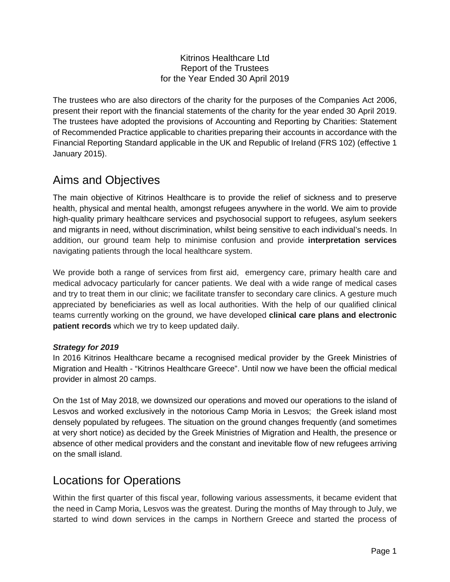# Kitrinos Healthcare Ltd Report of the Trustees for the Year Ended 30 April 2019

The trustees who are also directors of the charity for the purposes of the Companies Act 2006, present their report with the financial statements of the charity for the year ended 30 April 2019. The trustees have adopted the provisions of Accounting and Reporting by Charities: Statement of Recommended Practice applicable to charities preparing their accounts in accordance with the Financial Reporting Standard applicable in the UK and Republic of Ireland (FRS 102) (effective 1 January 2015).

# Aims and Objectives

The main objective of Kitrinos Healthcare is to provide the relief of sickness and to preserve health, physical and mental health, amongst refugees anywhere in the world. We aim to provide high-quality primary healthcare services and psychosocial support to refugees, asylum seekers and migrants in need, without discrimination, whilst being sensitive to each individual's needs. In addition, our ground team help to minimise confusion and provide **interpretation services**  navigating patients through the local healthcare system.

We provide both a range of services from first aid, emergency care, primary health care and medical advocacy particularly for cancer patients. We deal with a wide range of medical cases and try to treat them in our clinic; we facilitate transfer to secondary care clinics. A gesture much appreciated by beneficiaries as well as local authorities. With the help of our qualified clinical teams currently working on the ground, we have developed **clinical care plans and electronic patient records** which we try to keep updated daily.

# *Strategy for 2019*

In 2016 Kitrinos Healthcare became a recognised medical provider by the Greek Ministries of Migration and Health - "Kitrinos Healthcare Greece". Until now we have been the official medical provider in almost 20 camps.

On the 1st of May 2018, we downsized our operations and moved our operations to the island of Lesvos and worked exclusively in the notorious Camp Moria in Lesvos; the Greek island most densely populated by refugees. The situation on the ground changes frequently (and sometimes at very short notice) as decided by the Greek Ministries of Migration and Health, the presence or absence of other medical providers and the constant and inevitable flow of new refugees arriving on the small island.

# Locations for Operations

Within the first quarter of this fiscal year, following various assessments, it became evident that the need in Camp Moria, Lesvos was the greatest. During the months of May through to July, we started to wind down services in the camps in Northern Greece and started the process of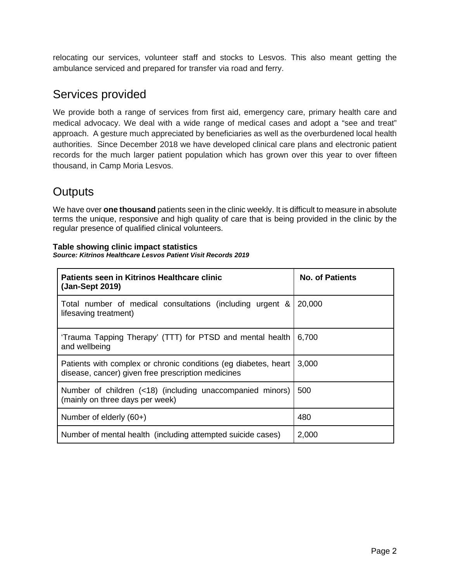relocating our services, volunteer staff and stocks to Lesvos. This also meant getting the ambulance serviced and prepared for transfer via road and ferry.

# Services provided

We provide both a range of services from first aid, emergency care, primary health care and medical advocacy. We deal with a wide range of medical cases and adopt a "see and treat" approach. A gesture much appreciated by beneficiaries as well as the overburdened local health authorities. Since December 2018 we have developed clinical care plans and electronic patient records for the much larger patient population which has grown over this year to over fifteen thousand, in Camp Moria Lesvos.

# **Outputs**

We have over **one thousand** patients seen in the clinic weekly. It is difficult to measure in absolute terms the unique, responsive and high quality of care that is being provided in the clinic by the regular presence of qualified clinical volunteers.

#### **Table showing clinic impact statistics**  *Source: Kitrinos Healthcare Lesvos Patient Visit Records 2019*

| Patients seen in Kitrinos Healthcare clinic<br>(Jan-Sept 2019)                                                        | <b>No. of Patients</b> |
|-----------------------------------------------------------------------------------------------------------------------|------------------------|
| Total number of medical consultations (including urgent &<br>lifesaving treatment)                                    | 20,000                 |
| 'Trauma Tapping Therapy' (TTT) for PTSD and mental health<br>and wellbeing                                            | 6,700                  |
| Patients with complex or chronic conditions (eg diabetes, heart<br>disease, cancer) given free prescription medicines | 3,000                  |
| Number of children (<18) (including unaccompanied minors)<br>(mainly on three days per week)                          | 500                    |
| Number of elderly (60+)                                                                                               | 480                    |
| Number of mental health (including attempted suicide cases)                                                           | 2,000                  |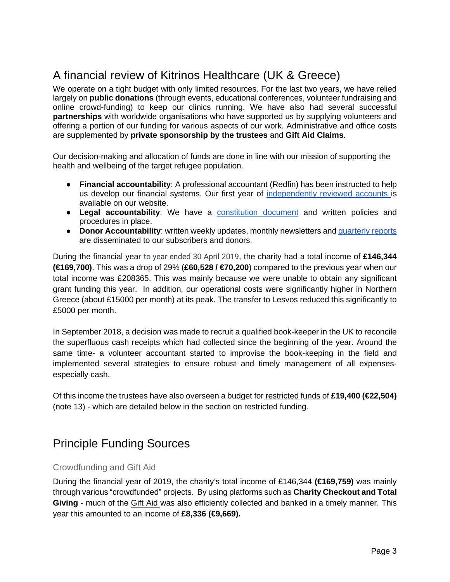# A financial review of Kitrinos Healthcare (UK & Greece)

We operate on a tight budget with only limited resources. For the last two years, we have relied largely on **public donations** (through events, educational conferences, volunteer fundraising and online crowd-funding) to keep our clinics running. We have also had several successful **partnerships** with worldwide organisations who have supported us by supplying volunteers and offering a portion of our funding for various aspects of our work. Administrative and office costs are supplemented by **private sponsorship by the trustees** and **Gift Aid Claims**.

Our decision-making and allocation of funds are done in line with our mission of supporting the health and wellbeing of the target refugee population.

- **Financial accountability**: A professional accountant (Redfin) has been instructed to help us develop our financial systems. Our first year of [independently reviewed accounts i](https://drive.google.com/file/d/10MnftI6HAtfdphOQNbmUTm7MOaD45bcd/view?usp=sharing)s available on our website.
- **Legal accountability**: We have a [constitution document](https://drive.google.com/file/d/1jlPDJZcn3OHkV0A7cEKYxdHmLWrAk095/view?usp=sharing) and written policies and procedures in place.
- **Donor Accountability**: written weekly updates, monthly newsletters an[d quarterly reports](https://www.kitrinoshealthcare.org/achievements) are disseminated to our subscribers and donors.

During the financial year to year ended 30 April 2019, the charity had a total income of **£146,344 (€169,700)**. This was a drop of 29% (**£60,528 / €70,200**) compared to the previous year when our total income was £208365. This was mainly because we were unable to obtain any significant grant funding this year. In addition, our operational costs were significantly higher in Northern Greece (about £15000 per month) at its peak. The transfer to Lesvos reduced this significantly to £5000 per month.

In September 2018, a decision was made to recruit a qualified book-keeper in the UK to reconcile the superfluous cash receipts which had collected since the beginning of the year. Around the same time- a volunteer accountant started to improvise the book-keeping in the field and implemented several strategies to ensure robust and timely management of all expensesespecially cash.

Of this income the trustees have also overseen a budget for restricted funds of **£19,400 (€22,504)** (note 13) - which are detailed below in the section on restricted funding.

# Principle Funding Sources

# Crowdfunding and Gift Aid

During the financial year of 2019, the charity's total income of £146,344 **(€169,759)** was mainly through various "crowdfunded" projects. By using platforms such as **Charity Checkout and Total Giving** - much of the Gift Aid was also efficiently collected and banked in a timely manner. This year this amounted to an income of **£8,336 (€9,669).**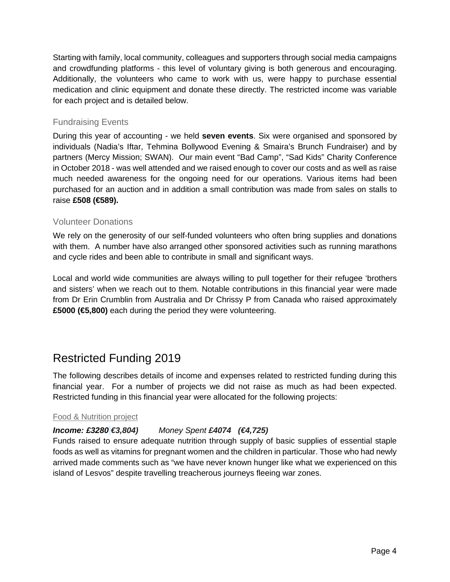Starting with family, local community, colleagues and supporters through social media campaigns and crowdfunding platforms - this level of voluntary giving is both generous and encouraging. Additionally, the volunteers who came to work with us, were happy to purchase essential medication and clinic equipment and donate these directly. The restricted income was variable for each project and is detailed below.

# Fundraising Events

During this year of accounting - we held **seven events**. Six were organised and sponsored by individuals (Nadia's Iftar, Tehmina Bollywood Evening & Smaira's Brunch Fundraiser) and by partners (Mercy Mission; SWAN). Our main event "Bad Camp", "Sad Kids" Charity Conference in October 2018 - was well attended and we raised enough to cover our costs and as well as raise much needed awareness for the ongoing need for our operations. Various items had been purchased for an auction and in addition a small contribution was made from sales on stalls to raise **£508 (€589).**

# Volunteer Donations

We rely on the generosity of our self-funded volunteers who often bring supplies and donations with them. A number have also arranged other sponsored activities such as running marathons and cycle rides and been able to contribute in small and significant ways.

Local and world wide communities are always willing to pull together for their refugee 'brothers and sisters' when we reach out to them. Notable contributions in this financial year were made from Dr Erin Crumblin from Australia and Dr Chrissy P from Canada who raised approximately £5000 (€5,800) each during the period they were volunteering.

# Restricted Funding 2019

The following describes details of income and expenses related to restricted funding during this financial year. For a number of projects we did not raise as much as had been expected. Restricted funding in this financial year were allocated for the following projects:

# Food & Nutrition project

# *Income: £3280 €3,804) Money Spent £4074 (€4,725)*

Funds raised to ensure adequate nutrition through supply of basic supplies of essential staple foods as well as vitamins for pregnant women and the children in particular. Those who had newly arrived made comments such as "we have never known hunger like what we experienced on this island of Lesvos" despite travelling treacherous journeys fleeing war zones.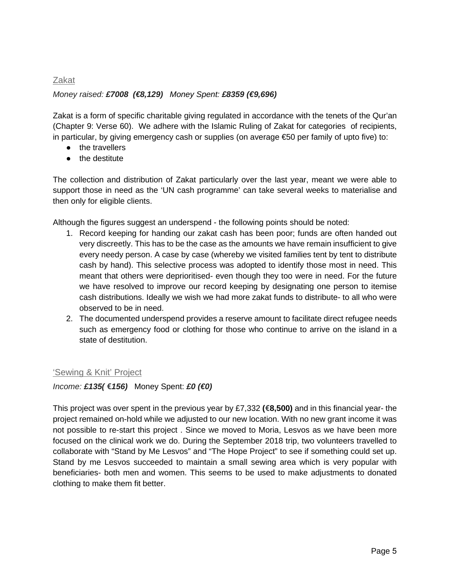# Zakat *Money raised: £7008 (€8,129) Money Spent: £8359 (€9,696)*

Zakat is a form of specific charitable giving regulated in accordance with the tenets of the Qur'an (Chapter 9: Verse 60). We adhere with the Islamic Ruling of Zakat for categories of recipients, in particular, by giving emergency cash or supplies (on average €50 per family of upto five) to:

- the travellers
- the destitute

The collection and distribution of Zakat particularly over the last year, meant we were able to support those in need as the 'UN cash programme' can take several weeks to materialise and then only for eligible clients.

Although the figures suggest an underspend - the following points should be noted:

- 1. Record keeping for handing our zakat cash has been poor; funds are often handed out very discreetly. This has to be the case as the amounts we have remain insufficient to give every needy person. A case by case (whereby we visited families tent by tent to distribute cash by hand). This selective process was adopted to identify those most in need. This meant that others were deprioritised- even though they too were in need. For the future we have resolved to improve our record keeping by designating one person to itemise cash distributions. Ideally we wish we had more zakat funds to distribute- to all who were observed to be in need.
- 2. The documented underspend provides a reserve amount to facilitate direct refugee needs such as emergency food or clothing for those who continue to arrive on the island in a state of destitution.

# 'Sewing & Knit' Project

*Income: £135(* **€***156)* Money Spent: *£0 (€0)*

This project was over spent in the previous year by £7,332 **(€8,500)** and in this financial year- the project remained on-hold while we adjusted to our new location. With no new grant income it was not possible to re-start this project . Since we moved to Moria, Lesvos as we have been more focused on the clinical work we do. During the September 2018 trip, two volunteers travelled to collaborate with "Stand by Me Lesvos" and "The Hope Project" to see if something could set up. Stand by me Lesvos succeeded to maintain a small sewing area which is very popular with beneficiaries- both men and women. This seems to be used to make adjustments to donated clothing to make them fit better.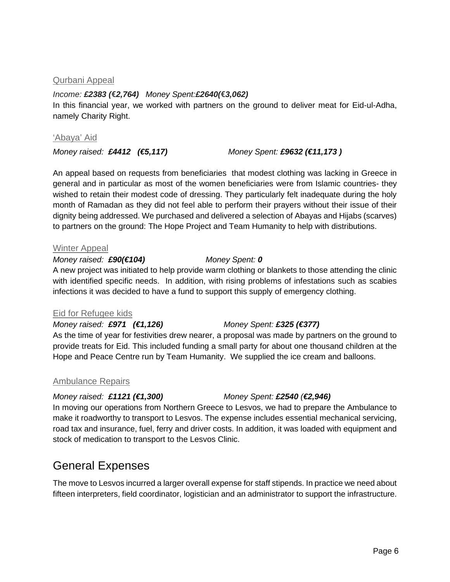# Qurbani Appeal

*Income: £2383 (***€***2,764) Money Spent:£2640(***€***3,062)* In this financial year, we worked with partners on the ground to deliver meat for Eid-ul-Adha, namely Charity Right.

## 'Abaya' Aid

*Money raised: £4412 (€5,117) Money Spent: £9632 (€11,173 )*

An appeal based on requests from beneficiaries that modest clothing was lacking in Greece in general and in particular as most of the women beneficiaries were from Islamic countries- they wished to retain their modest code of dressing. They particularly felt inadequate during the holy month of Ramadan as they did not feel able to perform their prayers without their issue of their dignity being addressed. We purchased and delivered a selection of Abayas and Hijabs (scarves) to partners on the ground: The Hope Project and Team Humanity to help with distributions.

## Winter Appeal

## *Money raised: £90(€104) Money Spent: 0*

A new project was initiated to help provide warm clothing or blankets to those attending the clinic with identified specific needs. In addition, with rising problems of infestations such as scabies infections it was decided to have a fund to support this supply of emergency clothing.

# Eid for Refugee kids

*Money raised: £971 (€1,126) Money Spent: £325 (€377)* As the time of year for festivities drew nearer, a proposal was made by partners on the ground to provide treats for Eid. This included funding a small party for about one thousand children at the Hope and Peace Centre run by Team Humanity. We supplied the ice cream and balloons.

# Ambulance Repairs

# *Money raised: £1121 (€1,300) Money Spent: £2540 (€2,946)*

In moving our operations from Northern Greece to Lesvos, we had to prepare the Ambulance to make it roadworthy to transport to Lesvos. The expense includes essential mechanical servicing, road tax and insurance, fuel, ferry and driver costs. In addition, it was loaded with equipment and stock of medication to transport to the Lesvos Clinic.

# General Expenses

The move to Lesvos incurred a larger overall expense for staff stipends. In practice we need about fifteen interpreters, field coordinator, logistician and an administrator to support the infrastructure.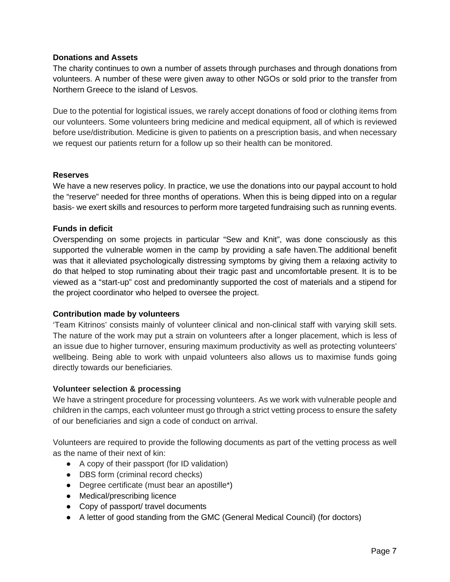# **Donations and Assets**

The charity continues to own a number of assets through purchases and through donations from volunteers. A number of these were given away to other NGOs or sold prior to the transfer from Northern Greece to the island of Lesvos.

Due to the potential for logistical issues, we rarely accept donations of food or clothing items from our volunteers. Some volunteers bring medicine and medical equipment, all of which is reviewed before use/distribution. Medicine is given to patients on a prescription basis, and when necessary we request our patients return for a follow up so their health can be monitored.

## **Reserves**

We have a new reserves policy. In practice, we use the donations into our paypal account to hold the "reserve" needed for three months of operations. When this is being dipped into on a regular basis- we exert skills and resources to perform more targeted fundraising such as running events.

# **Funds in deficit**

Overspending on some projects in particular "Sew and Knit", was done consciously as this supported the vulnerable women in the camp by providing a safe haven.The additional benefit was that it alleviated psychologically distressing symptoms by giving them a relaxing activity to do that helped to stop ruminating about their tragic past and uncomfortable present. It is to be viewed as a "start-up" cost and predominantly supported the cost of materials and a stipend for the project coordinator who helped to oversee the project.

#### **Contribution made by volunteers**

'Team Kitrinos' consists mainly of volunteer clinical and non-clinical staff with varying skill sets. The nature of the work may put a strain on volunteers after a longer placement, which is less of an issue due to higher turnover, ensuring maximum productivity as well as protecting volunteers' wellbeing. Being able to work with unpaid volunteers also allows us to maximise funds going directly towards our beneficiaries.

#### **Volunteer selection & processing**

We have a stringent procedure for processing volunteers. As we work with vulnerable people and children in the camps, each volunteer must go through a strict vetting process to ensure the safety of our beneficiaries and sign a code of conduct on arrival.

Volunteers are required to provide the following documents as part of the vetting process as well as the name of their next of kin:

- A copy of their passport (for ID validation)
- DBS form (criminal record checks)
- Degree certificate (must bear an apostille\*)
- Medical/prescribing licence
- Copy of passport/ travel documents
- A letter of good standing from the GMC (General Medical Council) (for doctors)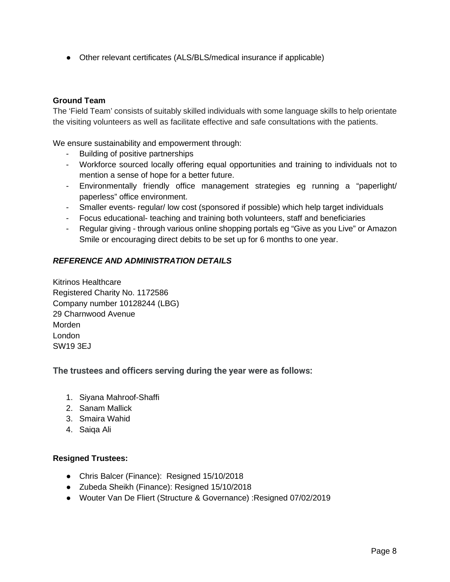• Other relevant certificates (ALS/BLS/medical insurance if applicable)

# **Ground Team**

The 'Field Team' consists of suitably skilled individuals with some language skills to help orientate the visiting volunteers as well as facilitate effective and safe consultations with the patients.

We ensure sustainability and empowerment through:

- Building of positive partnerships
- Workforce sourced locally offering equal opportunities and training to individuals not to mention a sense of hope for a better future.
- Environmentally friendly office management strategies eg running a "paperlight/ paperless" office environment.
- Smaller events- regular/ low cost (sponsored if possible) which help target individuals
- Focus educational- teaching and training both volunteers, staff and beneficiaries
- Regular giving through various online shopping portals eg "Give as you Live" or Amazon Smile or encouraging direct debits to be set up for 6 months to one year.

# *REFERENCE AND ADMINISTRATION DETAILS*

Kitrinos Healthcare Registered Charity No. 1172586 Company number 10128244 (LBG) 29 Charnwood Avenue Morden London SW19 3EJ

# **The trustees and officers serving during the year were as follows:**

- 1. Siyana Mahroof-Shaffi
- 2. Sanam Mallick
- 3. Smaira Wahid
- 4. Saiqa Ali

# **Resigned Trustees:**

- Chris Balcer (Finance): Resigned 15/10/2018
- Zubeda Sheikh (Finance): Resigned 15/10/2018
- Wouter Van De Fliert (Structure & Governance) :Resigned 07/02/2019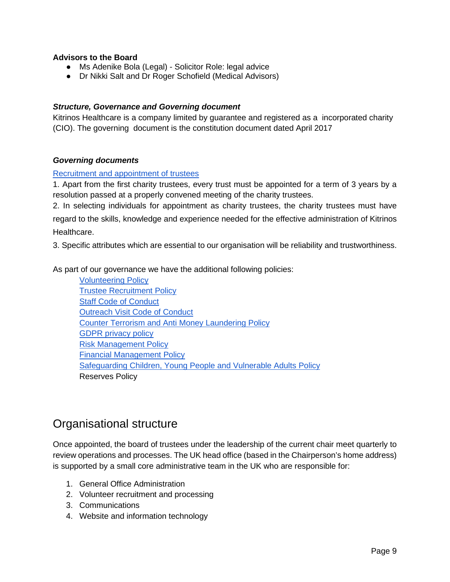# **Advisors to the Board**

- Ms Adenike Bola (Legal) Solicitor Role: legal advice
- Dr Nikki Salt and Dr Roger Schofield (Medical Advisors)

## *Structure, Governance and Governing document*

Kitrinos Healthcare is a company limited by guarantee and registered as a incorporated charity (CIO). The governing document is the constitution document dated April 2017

## *Governing documents*

#### [Recruitment and appointment of trustees](https://docs.google.com/document/d/11JArKKO_vwarJdtTp7Gigv8UeZXlrniP1nB9ekox97c/edit?usp=sharing)

1. Apart from the first charity trustees, every trust must be appointed for a term of 3 years by a resolution passed at a properly convened meeting of the charity trustees.

2. In selecting individuals for appointment as charity trustees, the charity trustees must have regard to the skills, knowledge and experience needed for the effective administration of Kitrinos Healthcare.

3. Specific attributes which are essential to our organisation will be reliability and trustworthiness.

As part of our governance we have the additional following policies:

[Volunteering Policy](https://docs.google.com/document/d/1sNkEYPJljCV-6vqMoTY2Rcdd3tXHNpqPNYCCk6QN2y8/edit?usp=sharing) [Trustee Recruitment Policy](https://docs.google.com/document/d/11JArKKO_vwarJdtTp7Gigv8UeZXlrniP1nB9ekox97c/edit?usp=sharing) [Staff Code of Conduct](https://docs.google.com/document/d/1Vz978uwy4Jz5mOEhDKjXSz03ZkxV8WV3h8QA1lb0d4o/edit?usp=sharing) [Outreach Visit Code of Conduct](https://docs.google.com/document/d/1s4TKUaKBKsHot1Y7UKuk2-MrYqaTxYZcKffPgVM7ROw/edit?usp=sharing) [Counter Terrorism and Anti Money Laundering Policy](https://docs.google.com/document/d/1CMWxeI1OEXDk62JArg5xPixvD0dknL0CqyQkqaV8TPI/edit?usp=sharing) [GDPR privacy policy](https://docs.google.com/document/d/1ils3jkrDADTY4KtE3ZZyQkjXxDm9vMs4fvGuN3pTYf0/edit?usp=sharing) [Risk Management Policy](https://docs.google.com/document/d/1MwXPGgGHSwbmTal_RmlF5-X7LAIFmFpY6PC2dEqKsNQ/edit?usp=sharing) [Financial Management Policy](https://docs.google.com/document/d/1nImlRyD4AvA2r_d5v-qLEFbKhcG1q5dyJEW4rKFFigo/edit?usp=sharing) [Safeguarding Children, Young People and Vulnerable Adults Policy](https://docs.google.com/document/d/1W8E23BtIzxFI8h7Wx-5dX98h7CO0kt6B6q7eRFKPQ0c/edit?usp=sharing) Reserves Policy

# Organisational structure

Once appointed, the board of trustees under the leadership of the current chair meet quarterly to review operations and processes. The UK head office (based in the Chairperson's home address) is supported by a small core administrative team in the UK who are responsible for:

- 1. General Office Administration
- 2. Volunteer recruitment and processing
- 3. Communications
- 4. Website and information technology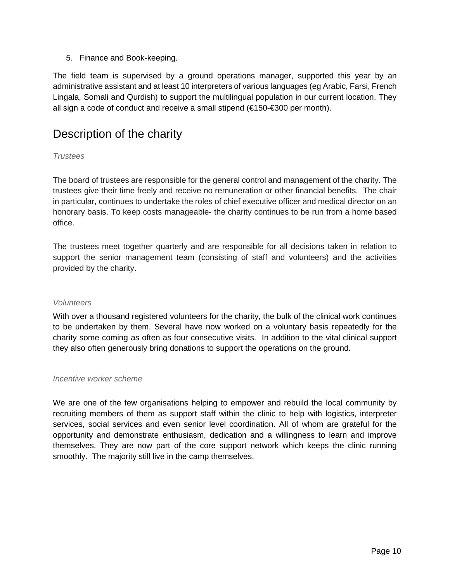5. Finance and Book-keeping.

The field team is supervised by a ground operations manager, supported this year by an administrative assistant and at least 10 interpreters of various languages (eg Arabic, Farsi, French Lingala, Somali and Qurdish) to support the multilingual population in our current location. They all sign a code of conduct and receive a small stipend (€150-€300 per month).

# Description of the charity

# *Trustees*

The board of trustees are responsible for the general control and management of the charity. The trustees give their time freely and receive no remuneration or other financial benefits. The chair in particular, continues to undertake the roles of chief executive officer and medical director on an honorary basis. To keep costs manageable- the charity continues to be run from a home based office.

The trustees meet together quarterly and are responsible for all decisions taken in relation to support the senior management team (consisting of staff and volunteers) and the activities provided by the charity.

# *Volunteers*

With over a thousand registered volunteers for the charity, the bulk of the clinical work continues to be undertaken by them. Several have now worked on a voluntary basis repeatedly for the charity some coming as often as four consecutive visits. In addition to the vital clinical support they also often generously bring donations to support the operations on the ground.

#### *Incentive worker scheme*

We are one of the few organisations helping to empower and rebuild the local community by recruiting members of them as support staff within the clinic to help with logistics, interpreter services, social services and even senior level coordination. All of whom are grateful for the opportunity and demonstrate enthusiasm, dedication and a willingness to learn and improve themselves. They are now part of the core support network which keeps the clinic running smoothly. The majority still live in the camp themselves.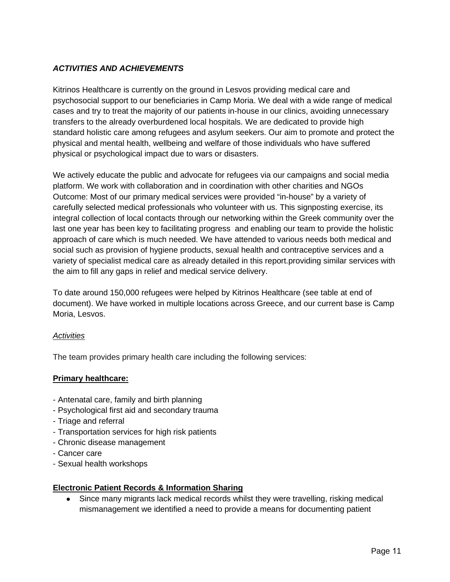# *ACTIVITIES AND ACHIEVEMENTS*

Kitrinos Healthcare is currently on the ground in Lesvos providing medical care and psychosocial support to our beneficiaries in Camp Moria. We deal with a wide range of medical cases and try to treat the majority of our patients in-house in our clinics, avoiding unnecessary transfers to the already overburdened local hospitals. We are dedicated to provide high standard holistic care among refugees and asylum seekers. Our aim to promote and protect the physical and mental health, wellbeing and welfare of those individuals who have suffered physical or psychological impact due to wars or disasters.

We actively educate the public and advocate for refugees via our campaigns and social media platform. We work with collaboration and in coordination with other charities and NGOs Outcome: Most of our primary medical services were provided "in-house" by a variety of carefully selected medical professionals who volunteer with us. This signposting exercise, its integral collection of local contacts through our networking within the Greek community over the last one year has been key to facilitating progress and enabling our team to provide the holistic approach of care which is much needed. We have attended to various needs both medical and social such as provision of hygiene products, sexual health and contraceptive services and a variety of specialist medical care as already detailed in this report.providing similar services with the aim to fill any gaps in relief and medical service delivery.

To date around 150,000 refugees were helped by Kitrinos Healthcare (see table at end of document). We have worked in multiple locations across Greece, and our current base is Camp Moria, Lesvos.

# *Activities*

The team provides primary health care including the following services:

# **Primary healthcare:**

- Antenatal care, family and birth planning
- Psychological first aid and secondary trauma
- Triage and referral
- Transportation services for high risk patients
- Chronic disease management
- Cancer care
- Sexual health workshops

# **Electronic Patient Records & Information Sharing**

• Since many migrants lack medical records whilst they were travelling, risking medical mismanagement we identified a need to provide a means for documenting patient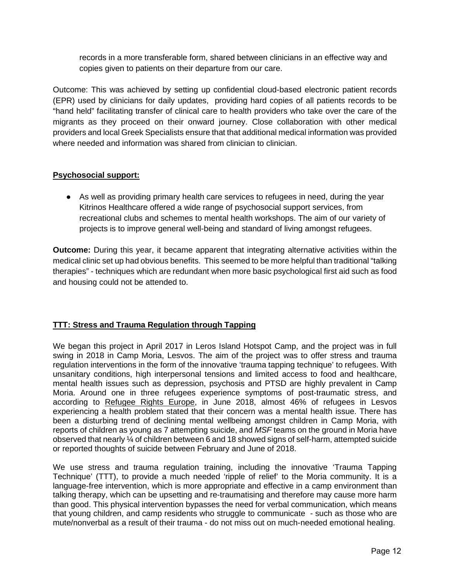records in a more transferable form, shared between clinicians in an effective way and copies given to patients on their departure from our care.

Outcome: This was achieved by setting up confidential cloud-based electronic patient records (EPR) used by clinicians for daily updates, providing hard copies of all patients records to be "hand held" facilitating transfer of clinical care to health providers who take over the care of the migrants as they proceed on their onward journey. Close collaboration with other medical providers and local Greek Specialists ensure that that additional medical information was provided where needed and information was shared from clinician to clinician.

# **Psychosocial support:**

● As well as providing primary health care services to refugees in need, during the year Kitrinos Healthcare offered a wide range of psychosocial support services, from recreational clubs and schemes to mental health workshops. The aim of our variety of projects is to improve general well-being and standard of living amongst refugees.

**Outcome:** During this year, it became apparent that integrating alternative activities within the medical clinic set up had obvious benefits. This seemed to be more helpful than traditional "talking therapies" - techniques which are redundant when more basic psychological first aid such as food and housing could not be attended to.

# **TTT: Stress and Trauma Regulation through Tapping**

We began this project in April 2017 in Leros Island Hotspot Camp, and the project was in full swing in 2018 in Camp Moria, Lesvos. The aim of the project was to offer stress and trauma regulation interventions in the form of the innovative 'trauma tapping technique' to refugees. With unsanitary conditions, high interpersonal tensions and limited access to food and healthcare, mental health issues such as depression, psychosis and PTSD are highly prevalent in Camp Moria. Around one in three refugees experience symptoms of post-traumatic stress, and according to Refugee [Rights Europe,](http://refugeerights.org.uk/reports/) in June 2018, almost 46% of refugees in Lesvos experiencing a health problem stated that their concern was a mental health issue. There has been a disturbing trend of declining mental wellbeing amongst children in Camp Moria, with reports of children as young as 7 attempting suicide, and *MSF* teams on the ground in Moria have observed that nearly ¼ of children between 6 and 18 showed signs of self-harm, attempted suicide or reported thoughts of suicide between February and June of 2018.

We use stress and trauma regulation training, including the innovative 'Trauma Tapping Technique' (TTT), to provide a much needed 'ripple of relief' to the Moria community. It is a language-free intervention, which is more appropriate and effective in a camp environment than talking therapy, which can be upsetting and re-traumatising and therefore may cause more harm than good. This physical intervention bypasses the need for verbal communication, which means that young children, and camp residents who struggle to communicate - such as those who are mute/nonverbal as a result of their trauma - do not miss out on much-needed emotional healing.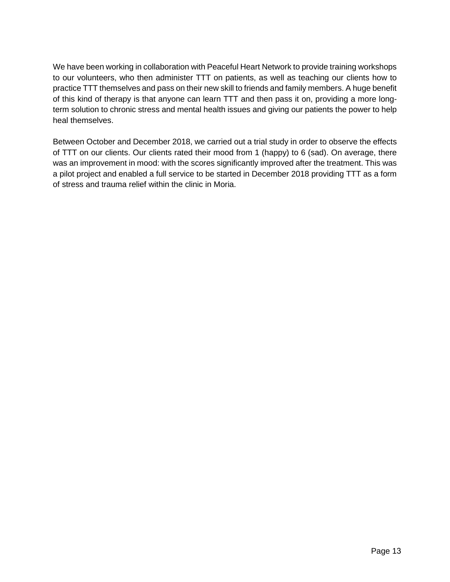We have been working in collaboration with Peaceful Heart Network to provide training workshops to our volunteers, who then administer TTT on patients, as well as teaching our clients how to practice TTT themselves and pass on their new skill to friends and family members. A huge benefit of this kind of therapy is that anyone can learn TTT and then pass it on, providing a more longterm solution to chronic stress and mental health issues and giving our patients the power to help heal themselves.

Between October and December 2018, we carried out a trial study in order to observe the effects of TTT on our clients. Our clients rated their mood from 1 (happy) to 6 (sad). On average, there was an improvement in mood: with the scores significantly improved after the treatment. This was a pilot project and enabled a full service to be started in December 2018 providing TTT as a form of stress and trauma relief within the clinic in Moria.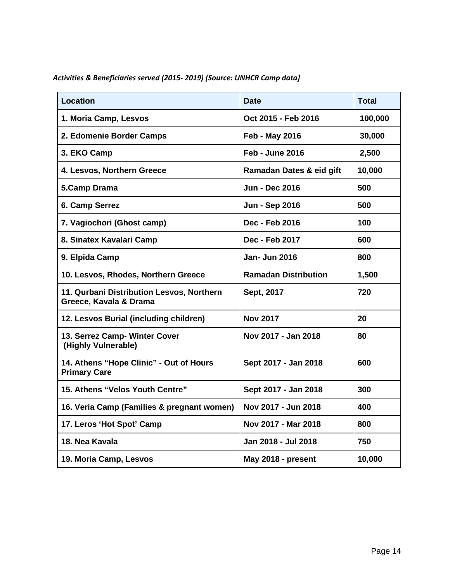| <b>Location</b>                                                     | <b>Date</b>                 | <b>Total</b> |
|---------------------------------------------------------------------|-----------------------------|--------------|
| 1. Moria Camp, Lesvos                                               | Oct 2015 - Feb 2016         | 100,000      |
| 2. Edomenie Border Camps                                            | Feb - May 2016              | 30,000       |
| 3. EKO Camp                                                         | <b>Feb - June 2016</b>      | 2,500        |
| 4. Lesvos, Northern Greece                                          | Ramadan Dates & eid gift    | 10,000       |
| 5.Camp Drama                                                        | <b>Jun - Dec 2016</b>       | 500          |
| 6. Camp Serrez                                                      | <b>Jun - Sep 2016</b>       | 500          |
| 7. Vagiochori (Ghost camp)                                          | Dec - Feb 2016              | 100          |
| 8. Sinatex Kavalari Camp                                            | Dec - Feb 2017              | 600          |
| 9. Elpida Camp                                                      | <b>Jan- Jun 2016</b>        | 800          |
| 10. Lesvos, Rhodes, Northern Greece                                 | <b>Ramadan Distribution</b> | 1,500        |
| 11. Qurbani Distribution Lesvos, Northern<br>Greece, Kavala & Drama | Sept, 2017                  | 720          |
| 12. Lesvos Burial (including children)                              | <b>Nov 2017</b>             | 20           |
| 13. Serrez Camp- Winter Cover<br>(Highly Vulnerable)                | Nov 2017 - Jan 2018         | 80           |
| 14. Athens "Hope Clinic" - Out of Hours<br><b>Primary Care</b>      | Sept 2017 - Jan 2018        | 600          |
| 15. Athens "Velos Youth Centre"                                     | Sept 2017 - Jan 2018        | 300          |
| 16. Veria Camp (Families & pregnant women)                          | Nov 2017 - Jun 2018         | 400          |
| 17. Leros 'Hot Spot' Camp                                           | Nov 2017 - Mar 2018         | 800          |
| 18. Nea Kavala                                                      | Jan 2018 - Jul 2018         | 750          |
| 19. Moria Camp, Lesvos                                              | May 2018 - present          | 10,000       |

*Activities & Beneficiaries served (2015- 2019) [Source: UNHCR Camp data]*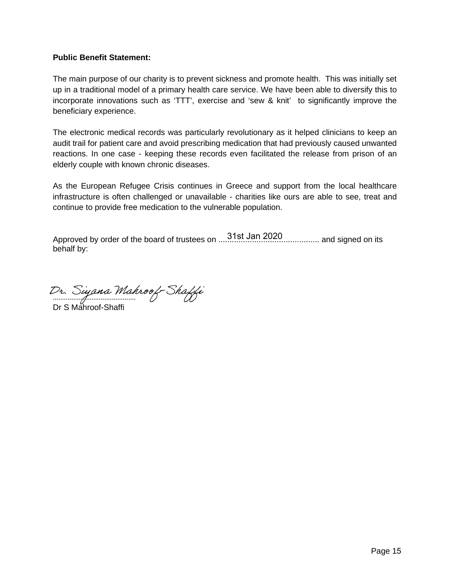# **Public Benefit Statement:**

The main purpose of our charity is to prevent sickness and promote health. This was initially set up in a traditional model of a primary health care service. We have been able to diversify this to incorporate innovations such as 'TTT', exercise and 'sew & knit' to significantly improve the beneficiary experience.

The electronic medical records was particularly revolutionary as it helped clinicians to keep an audit trail for patient care and avoid prescribing medication that had previously caused unwanted reactions. In one case - keeping these records even facilitated the release from prison of an elderly couple with known chronic diseases.

As the European Refugee Crisis continues in Greece and support from the local healthcare infrastructure is often challenged or unavailable - charities like ours are able to see, treat and continue to provide free medication to the vulnerable population.

Approved by order of the board of trustees on ............................................. and signed on its 31st Jan 2020behalf by:

.............................................

Dr S Mahroof-Shaffi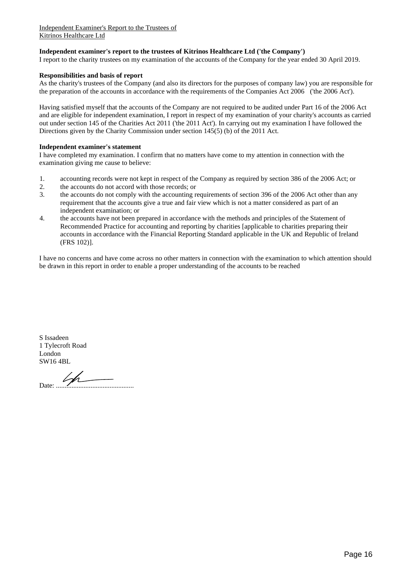#### **Independent examiner's report to the trustees of Kitrinos Healthcare Ltd ('the Company')**

I report to the charity trustees on my examination of the accounts of the Company for the year ended 30 April 2019.

#### **Responsibilities and basis of report**

As the charity's trustees of the Company (and also its directors for the purposes of company law) you are responsible for the preparation of the accounts in accordance with the requirements of the Companies Act 2006 ('the 2006 Act').

Having satisfied myself that the accounts of the Company are not required to be audited under Part 16 of the 2006 Act and are eligible for independent examination, I report in respect of my examination of your charity's accounts as carried out under section 145 of the Charities Act 2011 ('the 2011 Act'). In carrying out my examination I have followed the Directions given by the Charity Commission under section 145(5) (b) of the 2011 Act.

#### **Independent examiner's statement**

I have completed my examination. I confirm that no matters have come to my attention in connection with the examination giving me cause to believe:

- 1. accounting records were not kept in respect of the Company as required by section 386 of the 2006 Act; or
- 2. the accounts do not accord with those records; or
- 3. the accounts do not comply with the accounting requirements of section 396 of the 2006 Act other than any requirement that the accounts give a true and fair view which is not a matter considered as part of an independent examination; or
- 4. the accounts have not been prepared in accordance with the methods and principles of the Statement of Recommended Practice for accounting and reporting by charities [applicable to charities preparing their accounts in accordance with the Financial Reporting Standard applicable in the UK and Republic of Ireland (FRS 102)].

I have no concerns and have come across no other matters in connection with the examination to which attention should be drawn in this report in order to enable a proper understanding of the accounts to be reached

S Issadeen 1 Tylecroft Road London SW16 4BL

 $Date: 1/1$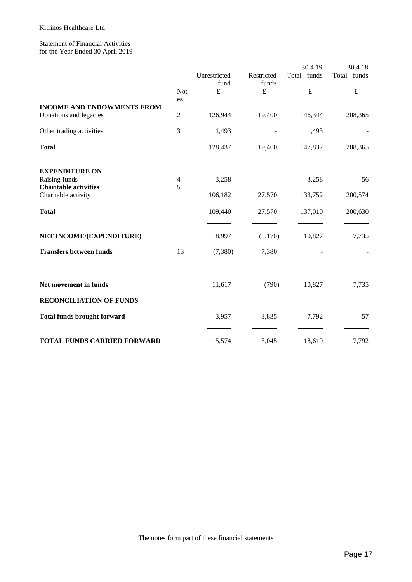## Kitrinos Healthcare Ltd

#### Statement of Financial Activities for the Year Ended 30 April 2019

|                                    |                |                      |                     | 30.4.19     | 30.4.18     |
|------------------------------------|----------------|----------------------|---------------------|-------------|-------------|
|                                    |                | Unrestricted<br>fund | Restricted<br>funds | Total funds | Total funds |
|                                    | <b>Not</b>     | £                    | £                   | $\pounds$   | $\pounds$   |
| <b>INCOME AND ENDOWMENTS FROM</b>  | es             |                      |                     |             |             |
| Donations and legacies             | $\mathfrak{2}$ | 126,944              | 19,400              | 146,344     | 208,365     |
| Other trading activities           | 3              | 1,493                |                     | 1,493       |             |
| <b>Total</b>                       |                | 128,437              | 19,400              | 147,837     | 208,365     |
| <b>EXPENDITURE ON</b>              |                |                      |                     |             |             |
| Raising funds                      | 4              | 3,258                |                     | 3,258       | 56          |
| <b>Charitable activities</b>       | 5              |                      |                     |             |             |
| Charitable activity                |                | 106,182              | 27,570              | 133,752     | 200,574     |
| <b>Total</b>                       |                | 109,440              | 27,570              | 137,010     | 200,630     |
|                                    |                |                      |                     |             |             |
| NET INCOME/(EXPENDITURE)           |                | 18,997               | (8,170)             | 10,827      | 7,735       |
| <b>Transfers between funds</b>     | 13             | (7,380)              | 7,380               |             |             |
|                                    |                |                      |                     |             |             |
| Net movement in funds              |                | 11,617               | (790)               | 10,827      | 7,735       |
| <b>RECONCILIATION OF FUNDS</b>     |                |                      |                     |             |             |
| <b>Total funds brought forward</b> |                | 3,957                | 3,835               | 7,792       | 57          |
|                                    |                |                      |                     |             |             |
| <b>TOTAL FUNDS CARRIED FORWARD</b> |                | 15,574               | 3,045               | 18,619      | 7,792       |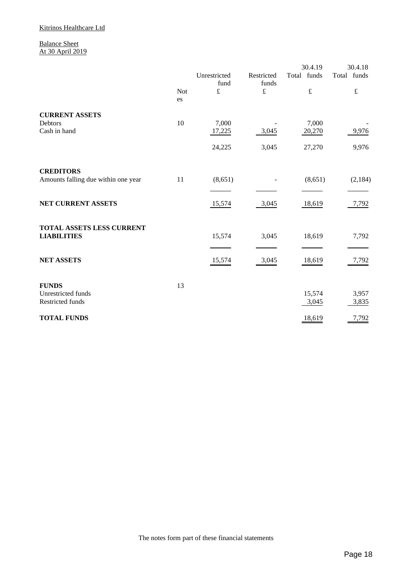#### Balance Sheet At 30 April 2019

|                                                 |                  |                      |                     | 30.4.19         | 30.4.18        |
|-------------------------------------------------|------------------|----------------------|---------------------|-----------------|----------------|
|                                                 |                  | Unrestricted<br>fund | Restricted<br>funds | Total funds     | Total funds    |
|                                                 | <b>Not</b><br>es | $\pounds$            | $\pounds$           | $\pounds$       | $\pounds$      |
| <b>CURRENT ASSETS</b>                           |                  |                      |                     |                 |                |
| Debtors<br>Cash in hand                         | 10               | 7,000<br>17,225      | 3,045               | 7,000<br>20,270 | 9,976          |
|                                                 |                  | 24,225               | 3,045               | 27,270          | 9,976          |
| <b>CREDITORS</b>                                |                  |                      |                     |                 |                |
| Amounts falling due within one year             | 11               | (8,651)              |                     | (8,651)         | (2,184)        |
| NET CURRENT ASSETS                              |                  | 15,574               | 3,045               | 18,619          | 7,792          |
| TOTAL ASSETS LESS CURRENT<br><b>LIABILITIES</b> |                  | 15,574               | 3,045               | 18,619          | 7,792          |
|                                                 |                  |                      |                     |                 |                |
| <b>NET ASSETS</b>                               |                  | 15,574               | 3,045               | 18,619          | 7,792          |
| <b>FUNDS</b>                                    | 13               |                      |                     |                 |                |
| Unrestricted funds<br>Restricted funds          |                  |                      |                     | 15,574<br>3,045 | 3,957<br>3,835 |
| <b>TOTAL FUNDS</b>                              |                  |                      |                     | 18,619          | 7,792          |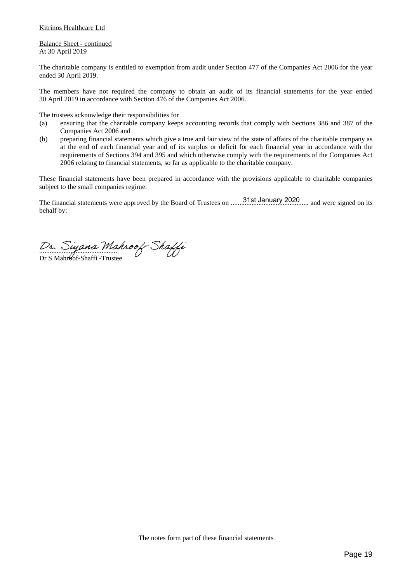#### Kitrinos Healthcare Ltd

#### Balance Sheet - continued At 30 April 2019

The charitable company is entitled to exemption from audit under Section 477 of the Companies Act 2006 for the year ended 30 April 2019.

The members have not required the company to obtain an audit of its financial statements for the year ended 30 April 2019 in accordance with Section 476 of the Companies Act 2006.

The trustees acknowledge their responsibilities for

- (a) ensuring that the charitable company keeps accounting records that comply with Sections 386 and 387 of the Companies Act 2006 and
- (b) preparing financial statements which give a true and fair view of the state of affairs of the charitable company as at the end of each financial year and of its surplus or deficit for each financial year in accordance with the requirements of Sections 394 and 395 and which otherwise comply with the requirements of the Companies Act 2006 relating to financial statements, so far as applicable to the charitable company.

These financial statements have been prepared in accordance with the provisions applicable to charitable companies subject to the small companies regime.

The financial statements were approved by the Board of Trustees on ............................................. and were signed on its 31st January 2020behalf by:

 $L_{\nu}$ . Oggan  $\mu$ 

Dr S Mahr6of-Shaffi -Trustee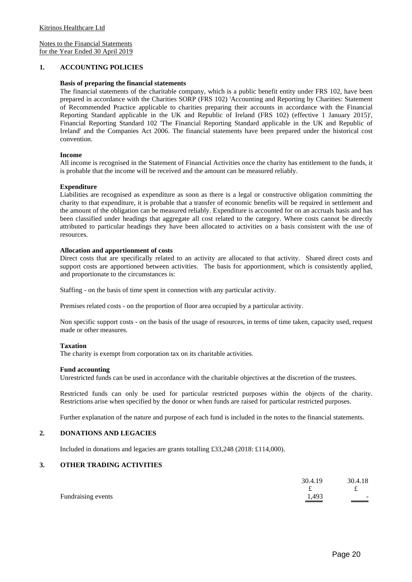#### **1. ACCOUNTING POLICIES**

#### **Basis of preparing the financial statements**

The financial statements of the charitable company, which is a public benefit entity under FRS 102, have been prepared in accordance with the Charities SORP (FRS 102) 'Accounting and Reporting by Charities: Statement of Recommended Practice applicable to charities preparing their accounts in accordance with the Financial Reporting Standard applicable in the UK and Republic of Ireland (FRS 102) (effective 1 January 2015)', Financial Reporting Standard 102 'The Financial Reporting Standard applicable in the UK and Republic of Ireland' and the Companies Act 2006. The financial statements have been prepared under the historical cost convention.

#### **Income**

All income is recognised in the Statement of Financial Activities once the charity has entitlement to the funds, it is probable that the income will be received and the amount can be measured reliably.

#### **Expenditure**

Liabilities are recognised as expenditure as soon as there is a legal or constructive obligation committing the charity to that expenditure, it is probable that a transfer of economic benefits will be required in settlement and the amount of the obligation can be measured reliably. Expenditure is accounted for on an accruals basis and has been classified under headings that aggregate all cost related to the category. Where costs cannot be directly attributed to particular headings they have been allocated to activities on a basis consistent with the use of resources.

#### **Allocation and apportionment of costs**

Direct costs that are specifically related to an activity are allocated to that activity. Shared direct costs and support costs are apportioned between activities. The basis for apportionment, which is consistently applied, and proportionate to the circumstances is:

Staffing - on the basis of time spent in connection with any particular activity.

Premises related costs - on the proportion of floor area occupied by a particular activity.

Non specific support costs - on the basis of the usage of resources, in terms of time taken, capacity used, request made or other measures.

#### **Taxation**

The charity is exempt from corporation tax on its charitable activities.

#### **Fund accounting**

Unrestricted funds can be used in accordance with the charitable objectives at the discretion of the trustees.

Restricted funds can only be used for particular restricted purposes within the objects of the charity. Restrictions arise when specified by the donor or when funds are raised for particular restricted purposes.

Further explanation of the nature and purpose of each fund is included in the notes to the financial statements.

#### **2. DONATIONS AND LEGACIES**

Included in donations and legacies are grants totalling £33,248 (2018: £114,000).

### **3. OTHER TRADING ACTIVITIES**

|                    | 30.4.19 | 30.4.18                  |
|--------------------|---------|--------------------------|
|                    |         | t                        |
| Fundraising events | 1,493   | $\overline{\phantom{a}}$ |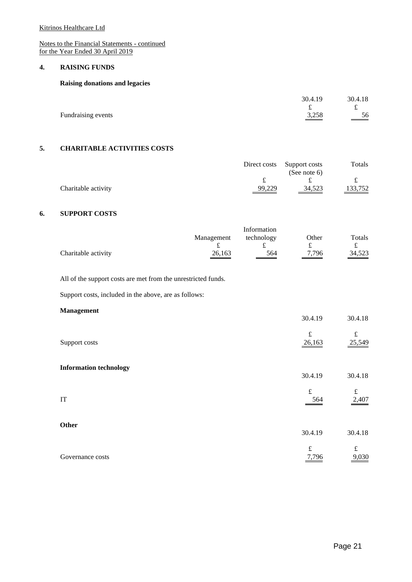Kitrinos Healthcare Ltd

Notes to the Financial Statements - continued for the Year Ended 30 April 2019

#### **4. RAISING FUNDS**

#### **Raising donations and legacies**

|                    | 30.4.19 | 30.4.18                 |
|--------------------|---------|-------------------------|
|                    |         |                         |
| Fundraising events | 3,258   | - 56<br>$\frac{38}{12}$ |

# **5. CHARITABLE ACTIVITIES COSTS**

|                     |        | Direct costs Support costs<br>(See note $6$ ) | Totals  |
|---------------------|--------|-----------------------------------------------|---------|
|                     |        |                                               |         |
| Charitable activity | 99,229 | 34,523                                        | 133,752 |

#### **6. SUPPORT COSTS**

|                     |                    | Information |       |                    |
|---------------------|--------------------|-------------|-------|--------------------|
|                     | Management         | technology  | Other | Totals             |
|                     |                    |             |       |                    |
| Charitable activity | $\frac{26,163}{2}$ | 564         | 7,796 | $\frac{34,523}{2}$ |

All of the support costs are met from the unrestricted funds.

Support costs, included in the above, are as follows:

#### **Management**

|                               | 30.4.19             | 30.4.18             |
|-------------------------------|---------------------|---------------------|
| Support costs                 | $\pounds$<br>26,163 | $\pounds$<br>25,549 |
| <b>Information technology</b> | 30.4.19             | 30.4.18             |
| $\ensuremath{\mathsf{IT}}$    | $\pounds$<br>564    | $\pounds$<br>2,407  |
| Other                         | 30.4.19             | 30.4.18             |
| Governance costs              | $\pounds$<br>7,796  | £<br>9,030          |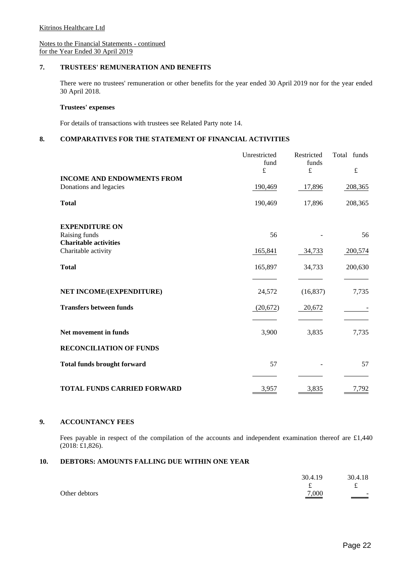## **7. TRUSTEES' REMUNERATION AND BENEFITS**

There were no trustees' remuneration or other benefits for the year ended 30 April 2019 nor for the year ended 30 April 2018.

#### **Trustees' expenses**

For details of transactions with trustees see Related Party note 14.

#### **8. COMPARATIVES FOR THE STATEMENT OF FINANCIAL ACTIVITIES**

|                                    | Unrestricted<br>fund<br>£ | Restricted<br>funds<br>$\mathbf f$ | funds<br>Total<br>$\pounds$ |
|------------------------------------|---------------------------|------------------------------------|-----------------------------|
| <b>INCOME AND ENDOWMENTS FROM</b>  |                           |                                    |                             |
| Donations and legacies             | 190,469                   | 17,896                             | 208,365                     |
| <b>Total</b>                       | 190,469                   | 17,896                             | 208,365                     |
| <b>EXPENDITURE ON</b>              |                           |                                    |                             |
| Raising funds                      | 56                        |                                    | 56                          |
| <b>Charitable activities</b>       |                           |                                    |                             |
| Charitable activity                | 165,841                   | 34,733                             | 200,574                     |
| <b>Total</b>                       | 165,897                   | 34,733                             | 200,630                     |
|                                    |                           |                                    |                             |
| NET INCOME/(EXPENDITURE)           | 24,572                    | (16, 837)                          | 7,735                       |
| <b>Transfers between funds</b>     | (20,672)                  | 20,672                             |                             |
|                                    |                           |                                    |                             |
| Net movement in funds              | 3,900                     | 3,835                              | 7,735                       |
| <b>RECONCILIATION OF FUNDS</b>     |                           |                                    |                             |
| <b>Total funds brought forward</b> | 57                        |                                    | 57                          |
|                                    |                           |                                    |                             |
| <b>TOTAL FUNDS CARRIED FORWARD</b> | 3,957                     | 3,835                              | 7,792                       |

#### **9. ACCOUNTANCY FEES**

Fees payable in respect of the compilation of the accounts and independent examination thereof are £1,440 (2018: £1,826).

#### **10. DEBTORS: AMOUNTS FALLING DUE WITHIN ONE YEAR**

|               | 30.4.19 | 30.4.18                          |
|---------------|---------|----------------------------------|
|               | ົ       | t                                |
| Other debtors | 7,000   | $\overline{\phantom{a}}$<br>$ -$ |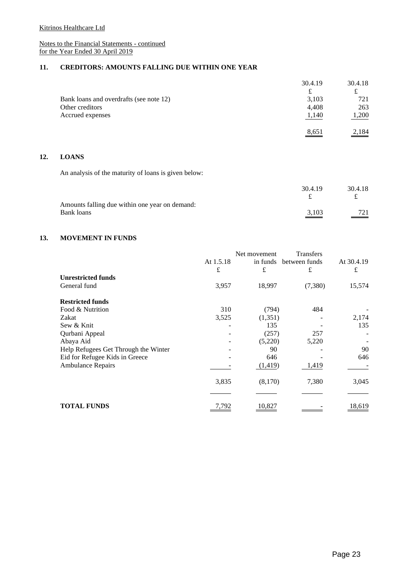## **11. CREDITORS: AMOUNTS FALLING DUE WITHIN ONE YEAR**

|                                         | 30.4.19 | 30.4.18 |
|-----------------------------------------|---------|---------|
|                                         | £       | £       |
| Bank loans and overdrafts (see note 12) | 3,103   | 721     |
| Other creditors                         | 4,408   | 263     |
| Accrued expenses                        | 1,140   | 1,200   |
|                                         | 8,651   | 2,184   |

#### **12. LOANS**

An analysis of the maturity of loans is given below:

|                                                              | 30.4.19           | 30.4.18  |
|--------------------------------------------------------------|-------------------|----------|
| Amounts falling due within one year on demand:<br>Bank loans | $\frac{3,103}{ }$ | 721      |
|                                                              |                   | $\equiv$ |

#### **13. MOVEMENT IN FUNDS**

|                                      |           | Net movement | <b>Transfers</b> |            |
|--------------------------------------|-----------|--------------|------------------|------------|
|                                      | At 1.5.18 | in funds     | between funds    | At 30.4.19 |
|                                      | £         | £            | £                | £          |
| <b>Unrestricted funds</b>            |           |              |                  |            |
| General fund                         | 3,957     | 18,997       | (7,380)          | 15,574     |
| <b>Restricted funds</b>              |           |              |                  |            |
| Food & Nutrition                     | 310       | (794)        | 484              |            |
| Zakat                                | 3,525     | (1,351)      |                  | 2,174      |
| Sew & Knit                           |           | 135          |                  | 135        |
| Qurbani Appeal                       |           | (257)        | 257              |            |
| Abaya Aid                            |           | (5,220)      | 5,220            |            |
| Help Refugees Get Through the Winter |           | 90           |                  | 90         |
| Eid for Refugee Kids in Greece       |           | 646          |                  | 646        |
| <b>Ambulance Repairs</b>             |           | (1, 419)     | 1,419            |            |
|                                      | 3,835     | (8,170)      | 7,380            | 3,045      |
|                                      |           |              |                  |            |
| <b>TOTAL FUNDS</b>                   | 7.792     | 10,827       |                  | 18,619     |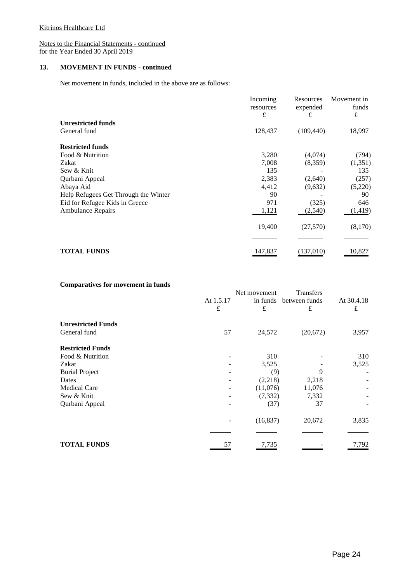#### **13. MOVEMENT IN FUNDS - continued**

Net movement in funds, included in the above are as follows:

|                                      | Incoming       | Resources<br>expended | Movement in<br>funds |
|--------------------------------------|----------------|-----------------------|----------------------|
|                                      | resources<br>£ |                       |                      |
| <b>Unrestricted funds</b>            |                | £                     | £                    |
| General fund                         | 128,437        | (109, 440)            | 18,997               |
| <b>Restricted funds</b>              |                |                       |                      |
| Food & Nutrition                     | 3,280          | (4,074)               | (794)                |
| Zakat                                | 7,008          | (8,359)               | (1, 351)             |
| Sew & Knit                           | 135            |                       | 135                  |
| Qurbani Appeal                       | 2,383          | (2,640)               | (257)                |
| Abaya Aid                            | 4,412          | (9,632)               | (5,220)              |
| Help Refugees Get Through the Winter | 90             |                       | 90                   |
| Eid for Refugee Kids in Greece       | 971            | (325)                 | 646                  |
| <b>Ambulance Repairs</b>             | 1,121          | (2,540)               | (1, 419)             |
|                                      | 19,400         | (27,570)              | (8,170)              |
|                                      |                |                       |                      |
| <b>TOTAL FUNDS</b>                   | 147,837        | (137,010)             | 10,827               |

#### **Comparatives for movement in funds**

|                           |                | Net movement  | <b>Transfers</b>   |                 |
|---------------------------|----------------|---------------|--------------------|-----------------|
|                           | At 1.5.17<br>£ | in funds<br>£ | between funds<br>£ | At 30.4.18<br>£ |
| <b>Unrestricted Funds</b> |                |               |                    |                 |
| General fund              | 57             | 24,572        | (20,672)           | 3,957           |
| <b>Restricted Funds</b>   |                |               |                    |                 |
| Food & Nutrition          |                | 310           |                    | 310             |
| Zakat                     |                | 3,525         |                    | 3,525           |
| <b>Burial Project</b>     |                | (9)           | 9                  |                 |
| Dates                     |                | (2,218)       | 2,218              |                 |
| <b>Medical Care</b>       |                | (11,076)      | 11,076             |                 |
| Sew & Knit                |                | (7, 332)      | 7,332              |                 |
| Qurbani Appeal            |                | (37)          | 37                 |                 |
|                           |                | (16, 837)     | 20,672             | 3,835           |
|                           |                |               |                    |                 |
| <b>TOTAL FUNDS</b>        | 57             | 7,735         |                    | 7,792           |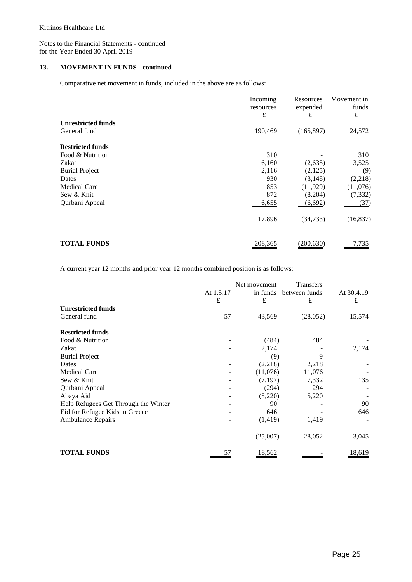#### **13. MOVEMENT IN FUNDS - continued**

Comparative net movement in funds, included in the above are as follows:

|                           | Incoming<br>resources<br>£ | Resources<br>expended<br>£ | Movement in<br>funds<br>£ |
|---------------------------|----------------------------|----------------------------|---------------------------|
| <b>Unrestricted funds</b> |                            |                            |                           |
| General fund              | 190,469                    | (165, 897)                 | 24,572                    |
| <b>Restricted funds</b>   |                            |                            |                           |
| Food & Nutrition          | 310                        |                            | 310                       |
| Zakat                     | 6,160                      | (2,635)                    | 3,525                     |
| <b>Burial Project</b>     | 2,116                      | (2,125)                    | (9)                       |
| Dates                     | 930                        | (3, 148)                   | (2,218)                   |
| <b>Medical Care</b>       | 853                        | (11, 929)                  | (11,076)                  |
| Sew & Knit                | 872                        | (8,204)                    | (7, 332)                  |
| Qurbani Appeal            | 6,655                      | (6,692)                    | (37)                      |
|                           | 17,896                     | (34, 733)                  | (16, 837)                 |
|                           |                            |                            |                           |
| <b>TOTAL FUNDS</b>        | 208,365                    | (200, 630)                 | 7,735                     |

A current year 12 months and prior year 12 months combined position is as follows:

|                                      |           | Net movement | <b>Transfers</b> |            |
|--------------------------------------|-----------|--------------|------------------|------------|
|                                      | At 1.5.17 | in funds     | between funds    | At 30.4.19 |
|                                      | £         | £            | £                | £          |
| <b>Unrestricted funds</b>            |           |              |                  |            |
| General fund                         | 57        | 43,569       | (28,052)         | 15,574     |
| <b>Restricted funds</b>              |           |              |                  |            |
| Food & Nutrition                     |           | (484)        | 484              |            |
| Zakat                                |           | 2,174        |                  | 2,174      |
| <b>Burial Project</b>                |           | (9)          | 9                |            |
| Dates                                |           | (2,218)      | 2,218            |            |
| <b>Medical Care</b>                  |           | (11,076)     | 11,076           |            |
| Sew & Knit                           |           | (7, 197)     | 7,332            | 135        |
| Qurbani Appeal                       |           | (294)        | 294              |            |
| Abaya Aid                            |           | (5,220)      | 5,220            |            |
| Help Refugees Get Through the Winter |           | 90           |                  | 90         |
| Eid for Refugee Kids in Greece       |           | 646          |                  | 646        |
| <b>Ambulance Repairs</b>             |           | (1, 419)     | 1,419            |            |
|                                      |           | (25,007)     | 28,052           | 3,045      |
| <b>TOTAL FUNDS</b>                   | 57        | 18,562       |                  | 18,619     |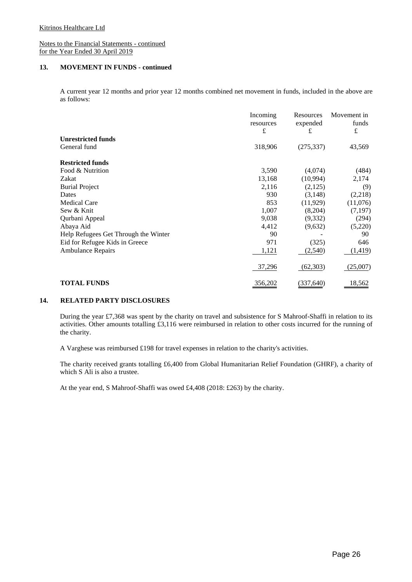#### **13. MOVEMENT IN FUNDS - continued**

A current year 12 months and prior year 12 months combined net movement in funds, included in the above are as follows:

|                                      | Incoming<br>resources | Resources<br>expended | Movement in<br>funds |
|--------------------------------------|-----------------------|-----------------------|----------------------|
|                                      | £                     | £                     | £                    |
| <b>Unrestricted funds</b>            |                       |                       |                      |
| General fund                         | 318,906               | (275, 337)            | 43,569               |
| <b>Restricted funds</b>              |                       |                       |                      |
| Food & Nutrition                     | 3,590                 | (4,074)               | (484)                |
| Zakat                                | 13,168                | (10,994)              | 2,174                |
| <b>Burial Project</b>                | 2,116                 | (2,125)               | (9)                  |
| Dates                                | 930                   | (3, 148)              | (2,218)              |
| <b>Medical Care</b>                  | 853                   | (11, 929)             | (11,076)             |
| Sew & Knit                           | 1,007                 | (8,204)               | (7, 197)             |
| Qurbani Appeal                       | 9,038                 | (9,332)               | (294)                |
| Abaya Aid                            | 4,412                 | (9,632)               | (5,220)              |
| Help Refugees Get Through the Winter | 90                    |                       | 90                   |
| Eid for Refugee Kids in Greece       | 971                   | (325)                 | 646                  |
| <b>Ambulance Repairs</b>             | 1,121                 | (2,540)               | (1, 419)             |
|                                      | 37,296                | (62, 303)             | (25,007)             |
| <b>TOTAL FUNDS</b>                   | 356,202               | (337, 640)            | 18,562               |

#### **14. RELATED PARTY DISCLOSURES**

During the year £7,368 was spent by the charity on travel and subsistence for S Mahroof-Shaffi in relation to its activities. Other amounts totalling £3,116 were reimbursed in relation to other costs incurred for the running of the charity.

A Varghese was reimbursed £198 for travel expenses in relation to the charity's activities.

The charity received grants totalling £6,400 from Global Humanitarian Relief Foundation (GHRF), a charity of which S Ali is also a trustee.

At the year end, S Mahroof-Shaffi was owed £4,408 (2018: £263) by the charity.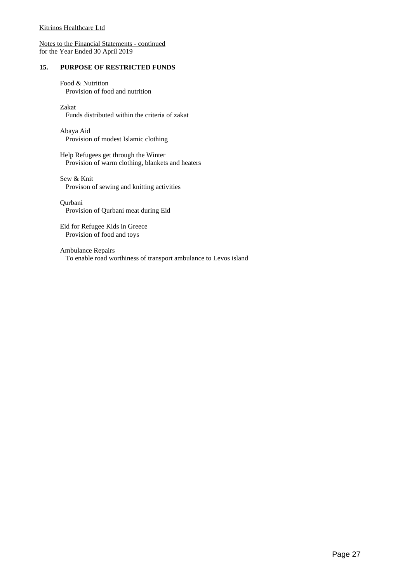#### **15. PURPOSE OF RESTRICTED FUNDS**

Food & Nutrition Provision of food and nutrition

Zakat Funds distributed within the criteria of zakat

Abaya Aid Provision of modest Islamic clothing

Help Refugees get through the Winter Provision of warm clothing, blankets and heaters

Sew & Knit Provison of sewing and knitting activities

Qurbani Provision of Qurbani meat during Eid

Eid for Refugee Kids in Greece Provision of food and toys

Ambulance Repairs To enable road worthiness of transport ambulance to Levos island